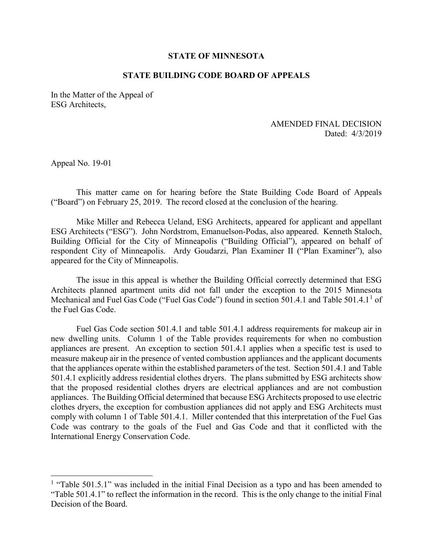## **STATE OF MINNESOTA**

## **STATE BUILDING CODE BOARD OF APPEALS**

In the Matter of the Appeal of ESG Architects,

## Dated: 4/3/2019 AMENDED FINAL DECISION

Appeal No. 19-01

 $\overline{a}$ 

This matter came on for hearing before the State Building Code Board of Appeals ("Board") on February 25, 2019. The record closed at the conclusion of the hearing.

 ESG Architects ("ESG"). John Nordstrom, Emanuelson-Podas, also appeared. Kenneth Staloch, Mike Miller and Rebecca Ueland, ESG Architects, appeared for applicant and appellant Building Official for the City of Minneapolis ("Building Official"), appeared on behalf of respondent City of Minneapolis. Ardy Goudarzi, Plan Examiner II ("Plan Examiner"), also appeared for the City of Minneapolis.

 The issue in this appeal is whether the Building Official correctly determined that ESG the Fuel Gas Code Architects planned apartment units did not fall under the exception to the 2015 Minnesota Mechanical and Fuel Gas Code ("Fuel Gas Code") found in section 50[1](#page-0-0).4.1 and Table 501.4.1<sup>1</sup> of

 comply with column 1 of Table 501.4.1. Miller contended that this interpretation of the Fuel Gas Fuel Gas Code section 501.4.1 and table 501.4.1 address requirements for makeup air in new dwelling units. Column 1 of the Table provides requirements for when no combustion appliances are present. An exception to section 501.4.1 applies when a specific test is used to measure makeup air in the presence of vented combustion appliances and the applicant documents that the appliances operate within the established parameters of the test. Section 501.4.1 and Table 501.4.1 explicitly address residential clothes dryers. The plans submitted by ESG architects show that the proposed residential clothes dryers are electrical appliances and are not combustion appliances. The Building Official determined that because ESG Architects proposed to use electric clothes dryers, the exception for combustion appliances did not apply and ESG Architects must Code was contrary to the goals of the Fuel and Gas Code and that it conflicted with the International Energy Conservation Code.

<span id="page-0-0"></span> Decision of the Board. <sup>1</sup> "Table 501.5.1" was included in the initial Final Decision as a typo and has been amended to "Table 501.4.1" to reflect the information in the record. This is the only change to the initial Final